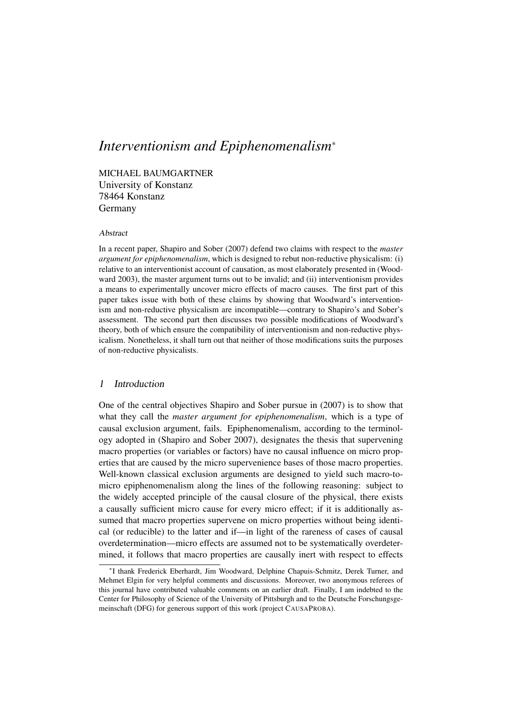# *Interventionism and Epiphenomenalism*<sup>∗</sup>

MICHAEL BAUMGARTNER University of Konstanz 78464 Konstanz Germany

#### Abstract

In a recent paper, Shapiro and Sober (2007) defend two claims with respect to the *master argument for epiphenomenalism*, which is designed to rebut non-reductive physicalism: (i) relative to an interventionist account of causation, as most elaborately presented in (Woodward 2003), the master argument turns out to be invalid; and (ii) interventionism provides a means to experimentally uncover micro effects of macro causes. The first part of this paper takes issue with both of these claims by showing that Woodward's interventionism and non-reductive physicalism are incompatible—contrary to Shapiro's and Sober's assessment. The second part then discusses two possible modifications of Woodward's theory, both of which ensure the compatibility of interventionism and non-reductive physicalism. Nonetheless, it shall turn out that neither of those modifications suits the purposes of non-reductive physicalists.

# 1 Introduction

One of the central objectives Shapiro and Sober pursue in (2007) is to show that what they call the *master argument for epiphenomenalism*, which is a type of causal exclusion argument, fails. Epiphenomenalism, according to the terminology adopted in (Shapiro and Sober 2007), designates the thesis that supervening macro properties (or variables or factors) have no causal influence on micro properties that are caused by the micro supervenience bases of those macro properties. Well-known classical exclusion arguments are designed to yield such macro-tomicro epiphenomenalism along the lines of the following reasoning: subject to the widely accepted principle of the causal closure of the physical, there exists a causally sufficient micro cause for every micro effect; if it is additionally assumed that macro properties supervene on micro properties without being identical (or reducible) to the latter and if—in light of the rareness of cases of causal overdetermination—micro effects are assumed not to be systematically overdetermined, it follows that macro properties are causally inert with respect to effects

<sup>∗</sup> I thank Frederick Eberhardt, Jim Woodward, Delphine Chapuis-Schmitz, Derek Turner, and Mehmet Elgin for very helpful comments and discussions. Moreover, two anonymous referees of this journal have contributed valuable comments on an earlier draft. Finally, I am indebted to the Center for Philosophy of Science of the University of Pittsburgh and to the Deutsche Forschungsgemeinschaft (DFG) for generous support of this work (project CAUSAPROBA).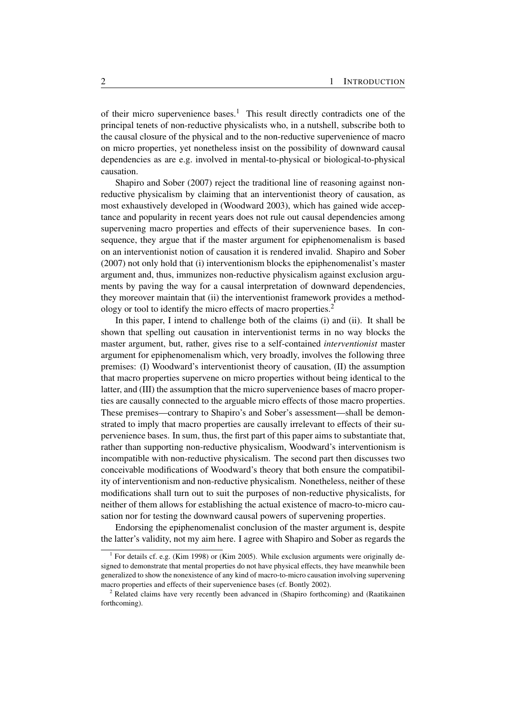of their micro supervenience bases.<sup>1</sup> This result directly contradicts one of the principal tenets of non-reductive physicalists who, in a nutshell, subscribe both to the causal closure of the physical and to the non-reductive supervenience of macro on micro properties, yet nonetheless insist on the possibility of downward causal dependencies as are e.g. involved in mental-to-physical or biological-to-physical causation.

Shapiro and Sober (2007) reject the traditional line of reasoning against nonreductive physicalism by claiming that an interventionist theory of causation, as most exhaustively developed in (Woodward 2003), which has gained wide acceptance and popularity in recent years does not rule out causal dependencies among supervening macro properties and effects of their supervenience bases. In consequence, they argue that if the master argument for epiphenomenalism is based on an interventionist notion of causation it is rendered invalid. Shapiro and Sober (2007) not only hold that (i) interventionism blocks the epiphenomenalist's master argument and, thus, immunizes non-reductive physicalism against exclusion arguments by paving the way for a causal interpretation of downward dependencies, they moreover maintain that (ii) the interventionist framework provides a methodology or tool to identify the micro effects of macro properties.<sup>2</sup>

In this paper, I intend to challenge both of the claims (i) and (ii). It shall be shown that spelling out causation in interventionist terms in no way blocks the master argument, but, rather, gives rise to a self-contained *interventionist* master argument for epiphenomenalism which, very broadly, involves the following three premises: (I) Woodward's interventionist theory of causation, (II) the assumption that macro properties supervene on micro properties without being identical to the latter, and (III) the assumption that the micro supervenience bases of macro properties are causally connected to the arguable micro effects of those macro properties. These premises—contrary to Shapiro's and Sober's assessment—shall be demonstrated to imply that macro properties are causally irrelevant to effects of their supervenience bases. In sum, thus, the first part of this paper aims to substantiate that, rather than supporting non-reductive physicalism, Woodward's interventionism is incompatible with non-reductive physicalism. The second part then discusses two conceivable modifications of Woodward's theory that both ensure the compatibility of interventionism and non-reductive physicalism. Nonetheless, neither of these modifications shall turn out to suit the purposes of non-reductive physicalists, for neither of them allows for establishing the actual existence of macro-to-micro causation nor for testing the downward causal powers of supervening properties.

Endorsing the epiphenomenalist conclusion of the master argument is, despite the latter's validity, not my aim here. I agree with Shapiro and Sober as regards the

<sup>&</sup>lt;sup>1</sup> For details cf. e.g. (Kim 1998) or (Kim 2005). While exclusion arguments were originally designed to demonstrate that mental properties do not have physical effects, they have meanwhile been generalized to show the nonexistence of any kind of macro-to-micro causation involving supervening macro properties and effects of their supervenience bases (cf. Bontly 2002).

<sup>2</sup> Related claims have very recently been advanced in (Shapiro forthcoming) and (Raatikainen forthcoming).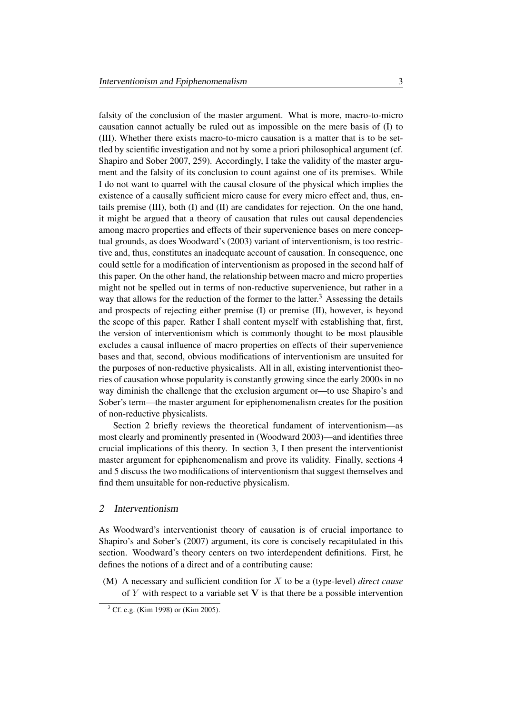falsity of the conclusion of the master argument. What is more, macro-to-micro causation cannot actually be ruled out as impossible on the mere basis of (I) to (III). Whether there exists macro-to-micro causation is a matter that is to be settled by scientific investigation and not by some a priori philosophical argument (cf. Shapiro and Sober 2007, 259). Accordingly, I take the validity of the master argument and the falsity of its conclusion to count against one of its premises. While I do not want to quarrel with the causal closure of the physical which implies the existence of a causally sufficient micro cause for every micro effect and, thus, entails premise (III), both (I) and (II) are candidates for rejection. On the one hand, it might be argued that a theory of causation that rules out causal dependencies among macro properties and effects of their supervenience bases on mere conceptual grounds, as does Woodward's (2003) variant of interventionism, is too restrictive and, thus, constitutes an inadequate account of causation. In consequence, one could settle for a modification of interventionism as proposed in the second half of this paper. On the other hand, the relationship between macro and micro properties might not be spelled out in terms of non-reductive supervenience, but rather in a way that allows for the reduction of the former to the latter.<sup>3</sup> Assessing the details and prospects of rejecting either premise (I) or premise (II), however, is beyond the scope of this paper. Rather I shall content myself with establishing that, first, the version of interventionism which is commonly thought to be most plausible excludes a causal influence of macro properties on effects of their supervenience bases and that, second, obvious modifications of interventionism are unsuited for the purposes of non-reductive physicalists. All in all, existing interventionist theories of causation whose popularity is constantly growing since the early 2000s in no way diminish the challenge that the exclusion argument or—to use Shapiro's and Sober's term—the master argument for epiphenomenalism creates for the position of non-reductive physicalists.

Section 2 briefly reviews the theoretical fundament of interventionism—as most clearly and prominently presented in (Woodward 2003)—and identifies three crucial implications of this theory. In section 3, I then present the interventionist master argument for epiphenomenalism and prove its validity. Finally, sections 4 and 5 discuss the two modifications of interventionism that suggest themselves and find them unsuitable for non-reductive physicalism.

## 2 Interventionism

As Woodward's interventionist theory of causation is of crucial importance to Shapiro's and Sober's (2007) argument, its core is concisely recapitulated in this section. Woodward's theory centers on two interdependent definitions. First, he defines the notions of a direct and of a contributing cause:

(M) A necessary and sufficient condition for X to be a (type-level) *direct cause* of Y with respect to a variable set  $V$  is that there be a possible intervention

<sup>3</sup> Cf. e.g. (Kim 1998) or (Kim 2005).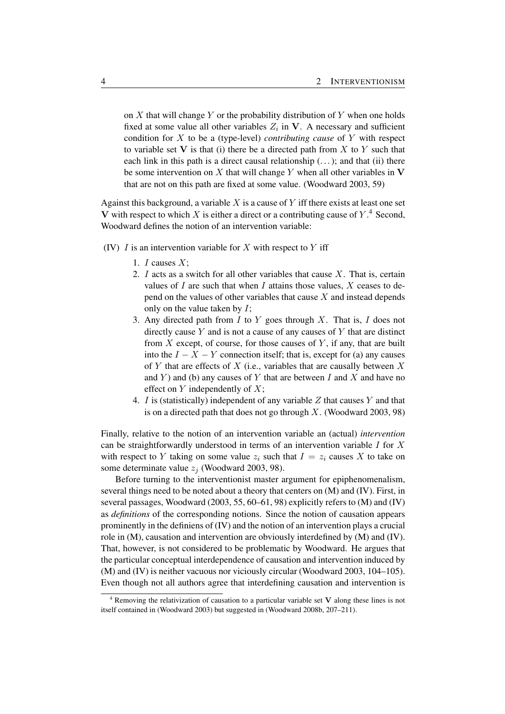on  $X$  that will change  $Y$  or the probability distribution of  $Y$  when one holds fixed at some value all other variables  $Z_i$  in V. A necessary and sufficient condition for X to be a (type-level) *contributing cause* of Y with respect to variable set V is that (i) there be a directed path from X to Y such that each link in this path is a direct causal relationship  $(...)$ ; and that (ii) there be some intervention on X that will change Y when all other variables in  $V$ that are not on this path are fixed at some value. (Woodward 2003, 59)

Against this background, a variable  $X$  is a cause of  $Y$  iff there exists at least one set V with respect to which X is either a direct or a contributing cause of  $Y$ .<sup>4</sup> Second, Woodward defines the notion of an intervention variable:

- (IV)  $I$  is an intervention variable for  $X$  with respect to  $Y$  iff
	- 1.  $I$  causes  $X$ ;
	- 2. I acts as a switch for all other variables that cause  $X$ . That is, certain values of  $I$  are such that when  $I$  attains those values,  $X$  ceases to depend on the values of other variables that cause  $X$  and instead depends only on the value taken by  $I$ ;
	- 3. Any directed path from  $I$  to  $Y$  goes through  $X$ . That is,  $I$  does not directly cause  $Y$  and is not a cause of any causes of  $Y$  that are distinct from  $X$  except, of course, for those causes of  $Y$ , if any, that are built into the  $I - X - Y$  connection itself; that is, except for (a) any causes of Y that are effects of X (i.e., variables that are causally between  $X$ and  $Y$ ) and (b) any causes of Y that are between I and X and have no effect on  $Y$  independently of  $X$ ;
	- 4. I is (statistically) independent of any variable  $Z$  that causes  $Y$  and that is on a directed path that does not go through  $X$ . (Woodward 2003, 98)

Finally, relative to the notion of an intervention variable an (actual) *intervention* can be straightforwardly understood in terms of an intervention variable  $I$  for  $X$ with respect to Y taking on some value  $z_i$  such that  $I = z_i$  causes X to take on some determinate value  $z_i$  (Woodward 2003, 98).

Before turning to the interventionist master argument for epiphenomenalism, several things need to be noted about a theory that centers on (M) and (IV). First, in several passages, Woodward (2003, 55, 60–61, 98) explicitly refers to (M) and (IV) as *definitions* of the corresponding notions. Since the notion of causation appears prominently in the definiens of (IV) and the notion of an intervention plays a crucial role in (M), causation and intervention are obviously interdefined by (M) and (IV). That, however, is not considered to be problematic by Woodward. He argues that the particular conceptual interdependence of causation and intervention induced by (M) and (IV) is neither vacuous nor viciously circular (Woodward 2003, 104–105). Even though not all authors agree that interdefining causation and intervention is

 $4$  Removing the relativization of causation to a particular variable set V along these lines is not itself contained in (Woodward 2003) but suggested in (Woodward 2008b, 207–211).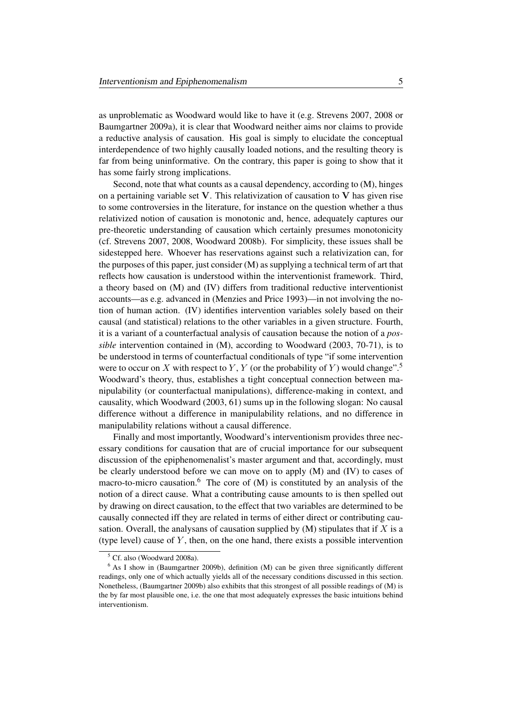as unproblematic as Woodward would like to have it (e.g. Strevens 2007, 2008 or Baumgartner 2009a), it is clear that Woodward neither aims nor claims to provide a reductive analysis of causation. His goal is simply to elucidate the conceptual interdependence of two highly causally loaded notions, and the resulting theory is far from being uninformative. On the contrary, this paper is going to show that it has some fairly strong implications.

Second, note that what counts as a causal dependency, according to (M), hinges on a pertaining variable set  $V$ . This relativization of causation to  $V$  has given rise to some controversies in the literature, for instance on the question whether a thus relativized notion of causation is monotonic and, hence, adequately captures our pre-theoretic understanding of causation which certainly presumes monotonicity (cf. Strevens 2007, 2008, Woodward 2008b). For simplicity, these issues shall be sidestepped here. Whoever has reservations against such a relativization can, for the purposes of this paper, just consider (M) as supplying a technical term of art that reflects how causation is understood within the interventionist framework. Third, a theory based on (M) and (IV) differs from traditional reductive interventionist accounts—as e.g. advanced in (Menzies and Price 1993)—in not involving the notion of human action. (IV) identifies intervention variables solely based on their causal (and statistical) relations to the other variables in a given structure. Fourth, it is a variant of a counterfactual analysis of causation because the notion of a *possible* intervention contained in (M), according to Woodward (2003, 70-71), is to be understood in terms of counterfactual conditionals of type "if some intervention were to occur on X with respect to Y, Y (or the probability of Y) would change".<sup>5</sup> Woodward's theory, thus, establishes a tight conceptual connection between manipulability (or counterfactual manipulations), difference-making in context, and causality, which Woodward (2003, 61) sums up in the following slogan: No causal difference without a difference in manipulability relations, and no difference in manipulability relations without a causal difference.

Finally and most importantly, Woodward's interventionism provides three necessary conditions for causation that are of crucial importance for our subsequent discussion of the epiphenomenalist's master argument and that, accordingly, must be clearly understood before we can move on to apply (M) and (IV) to cases of macro-to-micro causation.<sup>6</sup> The core of  $(M)$  is constituted by an analysis of the notion of a direct cause. What a contributing cause amounts to is then spelled out by drawing on direct causation, to the effect that two variables are determined to be causally connected iff they are related in terms of either direct or contributing causation. Overall, the analysans of causation supplied by  $(M)$  stipulates that if X is a (type level) cause of  $Y$ , then, on the one hand, there exists a possible intervention

<sup>5</sup> Cf. also (Woodward 2008a).

 $6$  As I show in (Baumgartner 2009b), definition (M) can be given three significantly different readings, only one of which actually yields all of the necessary conditions discussed in this section. Nonetheless, (Baumgartner 2009b) also exhibits that this strongest of all possible readings of (M) is the by far most plausible one, i.e. the one that most adequately expresses the basic intuitions behind interventionism.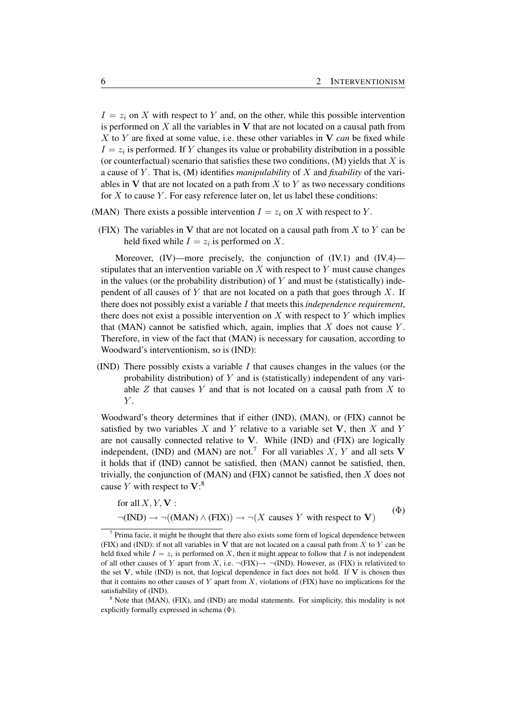$I = z_i$  on X with respect to Y and, on the other, while this possible intervention is performed on  $X$  all the variables in  $V$  that are not located on a causal path from X to Y are fixed at some value, i.e. these other variables in  $V$  *can* be fixed while  $I = z_i$  is performed. If Y changes its value or probability distribution in a possible (or counterfactual) scenario that satisfies these two conditions,  $(M)$  yields that X is a cause of Y . That is, (M) identifies *manipulability* of X and *fixability* of the variables in  $V$  that are not located on a path from  $X$  to  $Y$  as two necessary conditions for  $X$  to cause  $Y$ . For easy reference later on, let us label these conditions:

- (MAN) There exists a possible intervention  $I = z_i$  on X with respect to Y.
	- (FIX) The variables in V that are not located on a causal path from  $X$  to  $Y$  can be held fixed while  $I = z_i$  is performed on X.

Moreover, (IV)—more precisely, the conjunction of (IV.1) and (IV.4) stipulates that an intervention variable on  $X$  with respect to  $Y$  must cause changes in the values (or the probability distribution) of  $Y$  and must be (statistically) independent of all causes of Y that are not located on a path that goes through  $X$ . If there does not possibly exist a variable I that meets this *independence requirement*, there does not exist a possible intervention on  $X$  with respect to  $Y$  which implies that (MAN) cannot be satisfied which, again, implies that  $X$  does not cause  $Y$ . Therefore, in view of the fact that (MAN) is necessary for causation, according to Woodward's interventionism, so is (IND):

(IND) There possibly exists a variable  $I$  that causes changes in the values (or the probability distribution) of  $Y$  and is (statistically) independent of any variable  $Z$  that causes  $Y$  and that is not located on a causal path from  $X$  to  $Y$ .

Woodward's theory determines that if either (IND), (MAN), or (FIX) cannot be satisfied by two variables  $X$  and  $Y$  relative to a variable set  $V$ , then  $X$  and  $Y$ are not causally connected relative to V. While (IND) and (FIX) are logically independent, (IND) and (MAN) are not.<sup>7</sup> For all variables X, Y and all sets V it holds that if (IND) cannot be satisfied, then (MAN) cannot be satisfied, then, trivially, the conjunction of  $(MAN)$  and  $(FIX)$  cannot be satisfied, then  $X$  does not cause Y with respect to  $V$ :<sup>8</sup>

for all X, Y, V :  
\n
$$
\neg (IND) \rightarrow \neg ((MAN) \land (FIX)) \rightarrow \neg (X \text{ causes } Y \text{ with respect to } V)
$$
\n<sup>( $\Phi$ )</sup>

 $<sup>7</sup>$  Prima facie, it might be thought that there also exists some form of logical dependence between</sup> (FIX) and (IND): if not all variables in V that are not located on a causal path from X to Y can be held fixed while  $I = z_i$  is performed on X, then it might appear to follow that I is not independent of all other causes of Y apart from X, i.e.  $\neg$ (FIX) $\rightarrow \neg$ (IND). However, as (FIX) is relativized to the set  $V$ , while (IND) is not, that logical dependence in fact does not hold. If  $V$  is chosen thus that it contains no other causes of Y apart from  $X$ , violations of (FIX) have no implications for the satisfiability of (IND).

<sup>8</sup> Note that (MAN), (FIX), and (IND) are modal statements. For simplicity, this modality is not explicitly formally expressed in schema (Φ).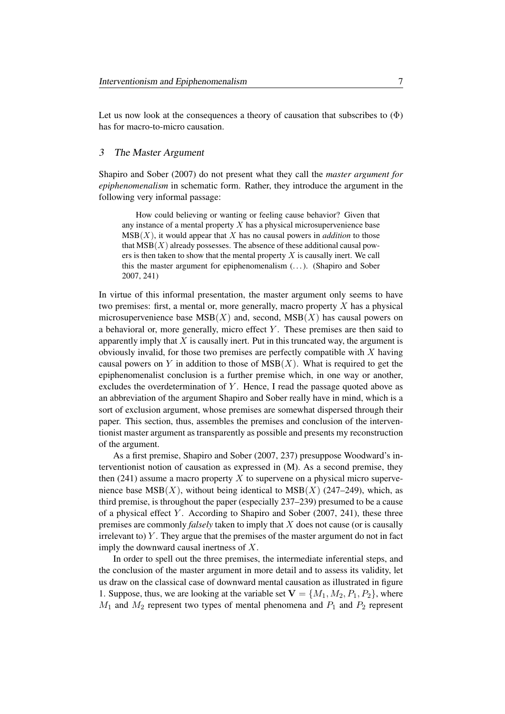Let us now look at the consequences a theory of causation that subscribes to  $(\Phi)$ has for macro-to-micro causation.

# 3 The Master Argument

Shapiro and Sober (2007) do not present what they call the *master argument for epiphenomenalism* in schematic form. Rather, they introduce the argument in the following very informal passage:

How could believing or wanting or feeling cause behavior? Given that any instance of a mental property  $X$  has a physical microsupervenience base  $MSB(X)$ , it would appear that X has no causal powers in *addition* to those that  $MSB(X)$  already possesses. The absence of these additional causal powers is then taken to show that the mental property  $X$  is causally inert. We call this the master argument for epiphenomenalism  $(\dots)$ . (Shapiro and Sober 2007, 241)

In virtue of this informal presentation, the master argument only seems to have two premises: first, a mental or, more generally, macro property  $X$  has a physical microsupervenience base  $MSB(X)$  and, second,  $MSB(X)$  has causal powers on a behavioral or, more generally, micro effect  $Y$ . These premises are then said to apparently imply that  $X$  is causally inert. Put in this truncated way, the argument is obviously invalid, for those two premises are perfectly compatible with  $X$  having causal powers on Y in addition to those of  $MSB(X)$ . What is required to get the epiphenomenalist conclusion is a further premise which, in one way or another, excludes the overdetermination of  $Y$ . Hence, I read the passage quoted above as an abbreviation of the argument Shapiro and Sober really have in mind, which is a sort of exclusion argument, whose premises are somewhat dispersed through their paper. This section, thus, assembles the premises and conclusion of the interventionist master argument as transparently as possible and presents my reconstruction of the argument.

As a first premise, Shapiro and Sober (2007, 237) presuppose Woodward's interventionist notion of causation as expressed in (M). As a second premise, they then  $(241)$  assume a macro property X to supervene on a physical micro supervenience base  $MSB(X)$ , without being identical to  $MSB(X)$  (247–249), which, as third premise, is throughout the paper (especially 237–239) presumed to be a cause of a physical effect  $Y$ . According to Shapiro and Sober (2007, 241), these three premises are commonly *falsely* taken to imply that X does not cause (or is causally irrelevant to)  $Y$ . They argue that the premises of the master argument do not in fact imply the downward causal inertness of X.

In order to spell out the three premises, the intermediate inferential steps, and the conclusion of the master argument in more detail and to assess its validity, let us draw on the classical case of downward mental causation as illustrated in figure 1. Suppose, thus, we are looking at the variable set  $V = \{M_1, M_2, P_1, P_2\}$ , where  $M_1$  and  $M_2$  represent two types of mental phenomena and  $P_1$  and  $P_2$  represent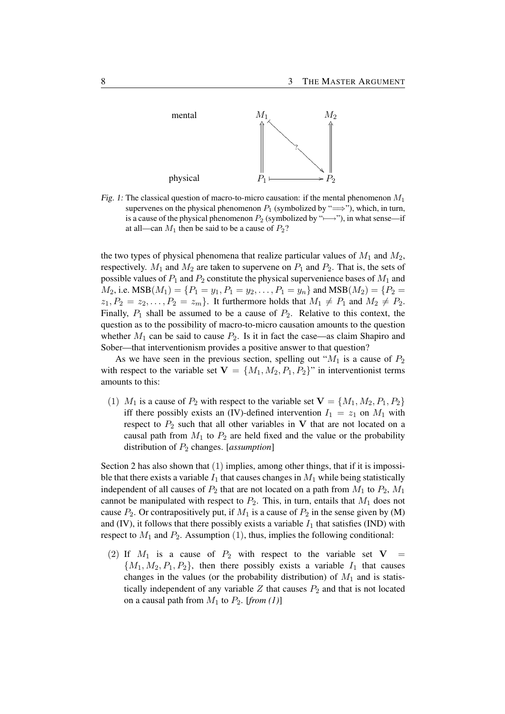

Fig. 1: The classical question of macro-to-micro causation: if the mental phenomenon  $M_1$ supervenes on the physical phenomenon  $P_1$  (symbolized by " $\Longrightarrow$ "), which, in turn, is a cause of the physical phenomenon  $P_2$  (symbolized by " $\rightarrow$ "), in what sense—if at all—can  $M_1$  then be said to be a cause of  $P_2$ ?

the two types of physical phenomena that realize particular values of  $M_1$  and  $M_2$ , respectively.  $M_1$  and  $M_2$  are taken to supervene on  $P_1$  and  $P_2$ . That is, the sets of possible values of  $P_1$  and  $P_2$  constitute the physical supervenience bases of  $M_1$  and  $M_2$ , i.e.  $MSB(M_1) = \{P_1 = y_1, P_1 = y_2, \ldots, P_1 = y_n\}$  and  $MSB(M_2) = \{P_2 =$  $z_1, P_2 = z_2, \ldots, P_2 = z_m$ . It furthermore holds that  $M_1 \neq P_1$  and  $M_2 \neq P_2$ . Finally,  $P_1$  shall be assumed to be a cause of  $P_2$ . Relative to this context, the question as to the possibility of macro-to-micro causation amounts to the question whether  $M_1$  can be said to cause  $P_2$ . Is it in fact the case—as claim Shapiro and Sober—that interventionism provides a positive answer to that question?

As we have seen in the previous section, spelling out " $M_1$  is a cause of  $P_2$ with respect to the variable set  $V = \{M_1, M_2, P_1, P_2\}$ " in interventionist terms amounts to this:

(1)  $M_1$  is a cause of  $P_2$  with respect to the variable set  $\mathbf{V} = \{M_1, M_2, P_1, P_2\}$ iff there possibly exists an (IV)-defined intervention  $I_1 = z_1$  on  $M_1$  with respect to  $P_2$  such that all other variables in V that are not located on a causal path from  $M_1$  to  $P_2$  are held fixed and the value or the probability distribution of P<sup>2</sup> changes. [*assumption*]

Section 2 has also shown that  $(1)$  implies, among other things, that if it is impossible that there exists a variable  $I_1$  that causes changes in  $M_1$  while being statistically independent of all causes of  $P_2$  that are not located on a path from  $M_1$  to  $P_2$ ,  $M_1$ cannot be manipulated with respect to  $P_2$ . This, in turn, entails that  $M_1$  does not cause  $P_2$ . Or contrapositively put, if  $M_1$  is a cause of  $P_2$  in the sense given by (M) and (IV), it follows that there possibly exists a variable  $I_1$  that satisfies (IND) with respect to  $M_1$  and  $P_2$ . Assumption (1), thus, implies the following conditional:

(2) If  $M_1$  is a cause of  $P_2$  with respect to the variable set  $V =$  $\{M_1, M_2, P_1, P_2\}$ , then there possibly exists a variable  $I_1$  that causes changes in the values (or the probability distribution) of  $M_1$  and is statistically independent of any variable  $Z$  that causes  $P_2$  and that is not located on a causal path from  $M_1$  to  $P_2$ . [*from* (1)]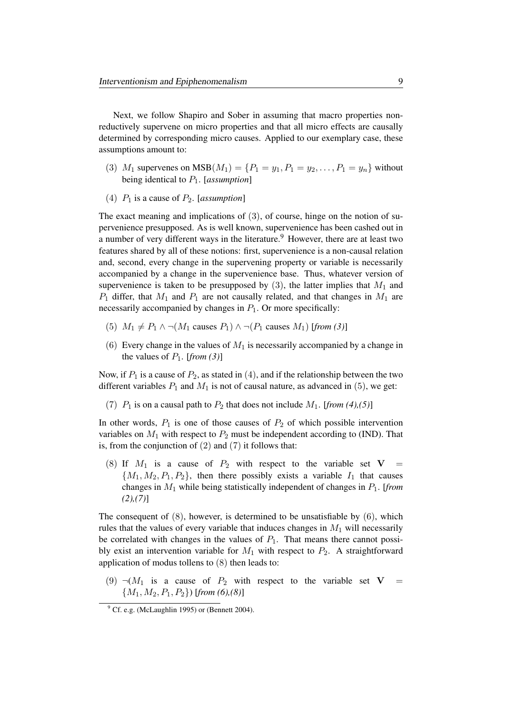Next, we follow Shapiro and Sober in assuming that macro properties nonreductively supervene on micro properties and that all micro effects are causally determined by corresponding micro causes. Applied to our exemplary case, these assumptions amount to:

- (3)  $M_1$  supervenes on  $MSB(M_1) = \{P_1 = y_1, P_1 = y_2, \ldots, P_1 = y_n\}$  without being identical to P1. [*assumption*]
- (4)  $P_1$  is a cause of  $P_2$ . [*assumption*]

The exact meaning and implications of (3), of course, hinge on the notion of supervenience presupposed. As is well known, supervenience has been cashed out in a number of very different ways in the literature.<sup>9</sup> However, there are at least two features shared by all of these notions: first, supervenience is a non-causal relation and, second, every change in the supervening property or variable is necessarily accompanied by a change in the supervenience base. Thus, whatever version of supervenience is taken to be presupposed by  $(3)$ , the latter implies that  $M_1$  and  $P_1$  differ, that  $M_1$  and  $P_1$  are not causally related, and that changes in  $M_1$  are necessarily accompanied by changes in  $P_1$ . Or more specifically:

- (5)  $M_1 \neq P_1 \land \neg(M_1 \text{ causes } P_1) \land \neg(P_1 \text{ causes } M_1)$  [*from (3)*]
- (6) Every change in the values of  $M_1$  is necessarily accompanied by a change in the values of  $P_1$ . [*from* (3)]

Now, if  $P_1$  is a cause of  $P_2$ , as stated in (4), and if the relationship between the two different variables  $P_1$  and  $M_1$  is not of causal nature, as advanced in (5), we get:

(7)  $P_1$  is on a causal path to  $P_2$  that does not include  $M_1$ . [*from* (4),(5)]

In other words,  $P_1$  is one of those causes of  $P_2$  of which possible intervention variables on  $M_1$  with respect to  $P_2$  must be independent according to (IND). That is, from the conjunction of  $(2)$  and  $(7)$  it follows that:

(8) If  $M_1$  is a cause of  $P_2$  with respect to the variable set  $V =$  $\{M_1, M_2, P_1, P_2\}$ , then there possibly exists a variable  $I_1$  that causes changes in M<sup>1</sup> while being statistically independent of changes in P1. [*from (2),(7)*]

The consequent of  $(8)$ , however, is determined to be unsatisfiable by  $(6)$ , which rules that the values of every variable that induces changes in  $M_1$  will necessarily be correlated with changes in the values of  $P_1$ . That means there cannot possibly exist an intervention variable for  $M_1$  with respect to  $P_2$ . A straightforward application of modus tollens to (8) then leads to:

(9)  $\neg(M_1$  is a cause of  $P_2$  with respect to the variable set  $V =$  ${M_1, M_2, P_1, P_2}$ ) [*from* (6),(8)]

 $9^9$  Cf. e.g. (McLaughlin 1995) or (Bennett 2004).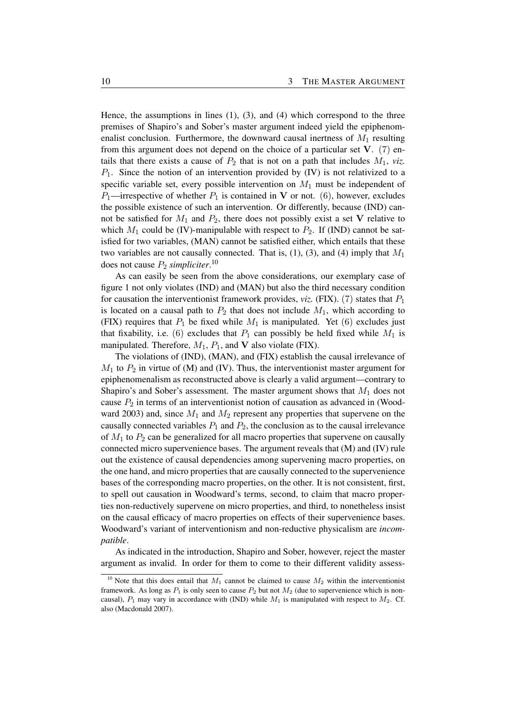Hence, the assumptions in lines  $(1)$ ,  $(3)$ , and  $(4)$  which correspond to the three premises of Shapiro's and Sober's master argument indeed yield the epiphenomenalist conclusion. Furthermore, the downward causal inertness of  $M_1$  resulting from this argument does not depend on the choice of a particular set  $V$ . (7) entails that there exists a cause of  $P_2$  that is not on a path that includes  $M_1$ , *viz.*  $P_1$ . Since the notion of an intervention provided by (IV) is not relativized to a specific variable set, every possible intervention on  $M_1$  must be independent of  $P_1$ —irrespective of whether  $P_1$  is contained in V or not. (6), however, excludes the possible existence of such an intervention. Or differently, because (IND) cannot be satisfied for  $M_1$  and  $P_2$ , there does not possibly exist a set V relative to which  $M_1$  could be (IV)-manipulable with respect to  $P_2$ . If (IND) cannot be satisfied for two variables, (MAN) cannot be satisfied either, which entails that these two variables are not causally connected. That is,  $(1)$ ,  $(3)$ , and  $(4)$  imply that  $M_1$ does not cause  $P_2$  *simpliciter*.<sup>10</sup>

As can easily be seen from the above considerations, our exemplary case of figure 1 not only violates (IND) and (MAN) but also the third necessary condition for causation the interventionist framework provides, *viz.* (FIX). (7) states that  $P_1$ is located on a causal path to  $P_2$  that does not include  $M_1$ , which according to (FIX) requires that  $P_1$  be fixed while  $M_1$  is manipulated. Yet (6) excludes just that fixability, i.e. (6) excludes that  $P_1$  can possibly be held fixed while  $M_1$  is manipulated. Therefore,  $M_1$ ,  $P_1$ , and V also violate (FIX).

The violations of (IND), (MAN), and (FIX) establish the causal irrelevance of  $M_1$  to  $P_2$  in virtue of (M) and (IV). Thus, the interventionist master argument for epiphenomenalism as reconstructed above is clearly a valid argument—contrary to Shapiro's and Sober's assessment. The master argument shows that  $M_1$  does not cause  $P_2$  in terms of an interventionist notion of causation as advanced in (Woodward 2003) and, since  $M_1$  and  $M_2$  represent any properties that supervene on the causally connected variables  $P_1$  and  $P_2$ , the conclusion as to the causal irrelevance of  $M_1$  to  $P_2$  can be generalized for all macro properties that supervene on causally connected micro supervenience bases. The argument reveals that (M) and (IV) rule out the existence of causal dependencies among supervening macro properties, on the one hand, and micro properties that are causally connected to the supervenience bases of the corresponding macro properties, on the other. It is not consistent, first, to spell out causation in Woodward's terms, second, to claim that macro properties non-reductively supervene on micro properties, and third, to nonetheless insist on the causal efficacy of macro properties on effects of their supervenience bases. Woodward's variant of interventionism and non-reductive physicalism are *incompatible*.

As indicated in the introduction, Shapiro and Sober, however, reject the master argument as invalid. In order for them to come to their different validity assess-

<sup>&</sup>lt;sup>10</sup> Note that this does entail that  $M_1$  cannot be claimed to cause  $M_2$  within the interventionist framework. As long as  $P_1$  is only seen to cause  $P_2$  but not  $M_2$  (due to supervenience which is noncausal),  $P_1$  may vary in accordance with (IND) while  $M_1$  is manipulated with respect to  $M_2$ . Cf. also (Macdonald 2007).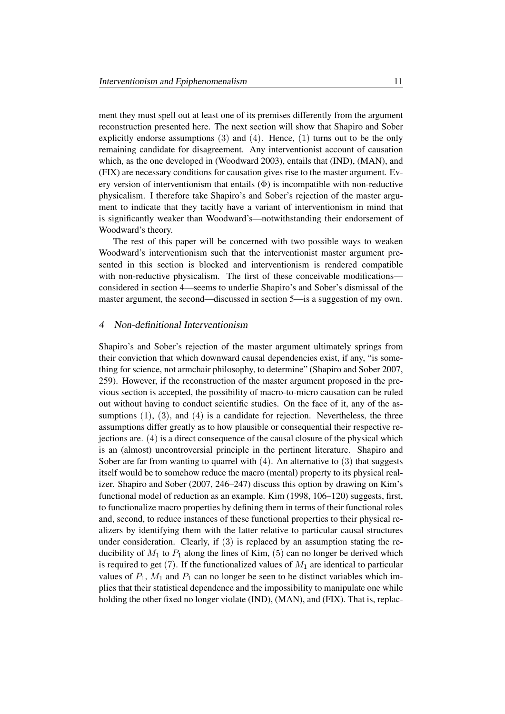ment they must spell out at least one of its premises differently from the argument reconstruction presented here. The next section will show that Shapiro and Sober explicitly endorse assumptions  $(3)$  and  $(4)$ . Hence,  $(1)$  turns out to be the only remaining candidate for disagreement. Any interventionist account of causation which, as the one developed in (Woodward 2003), entails that (IND), (MAN), and (FIX) are necessary conditions for causation gives rise to the master argument. Every version of interventionism that entails  $(\Phi)$  is incompatible with non-reductive physicalism. I therefore take Shapiro's and Sober's rejection of the master argument to indicate that they tacitly have a variant of interventionism in mind that is significantly weaker than Woodward's—notwithstanding their endorsement of Woodward's theory.

The rest of this paper will be concerned with two possible ways to weaken Woodward's interventionism such that the interventionist master argument presented in this section is blocked and interventionism is rendered compatible with non-reductive physicalism. The first of these conceivable modificationsconsidered in section 4—seems to underlie Shapiro's and Sober's dismissal of the master argument, the second—discussed in section 5—is a suggestion of my own.

## 4 Non-definitional Interventionism

Shapiro's and Sober's rejection of the master argument ultimately springs from their conviction that which downward causal dependencies exist, if any, "is something for science, not armchair philosophy, to determine" (Shapiro and Sober 2007, 259). However, if the reconstruction of the master argument proposed in the previous section is accepted, the possibility of macro-to-micro causation can be ruled out without having to conduct scientific studies. On the face of it, any of the assumptions  $(1)$ ,  $(3)$ , and  $(4)$  is a candidate for rejection. Nevertheless, the three assumptions differ greatly as to how plausible or consequential their respective rejections are. (4) is a direct consequence of the causal closure of the physical which is an (almost) uncontroversial principle in the pertinent literature. Shapiro and Sober are far from wanting to quarrel with  $(4)$ . An alternative to  $(3)$  that suggests itself would be to somehow reduce the macro (mental) property to its physical realizer. Shapiro and Sober (2007, 246–247) discuss this option by drawing on Kim's functional model of reduction as an example. Kim (1998, 106–120) suggests, first, to functionalize macro properties by defining them in terms of their functional roles and, second, to reduce instances of these functional properties to their physical realizers by identifying them with the latter relative to particular causal structures under consideration. Clearly, if (3) is replaced by an assumption stating the reducibility of  $M_1$  to  $P_1$  along the lines of Kim, (5) can no longer be derived which is required to get (7). If the functionalized values of  $M_1$  are identical to particular values of  $P_1$ ,  $M_1$  and  $P_1$  can no longer be seen to be distinct variables which implies that their statistical dependence and the impossibility to manipulate one while holding the other fixed no longer violate (IND), (MAN), and (FIX). That is, replac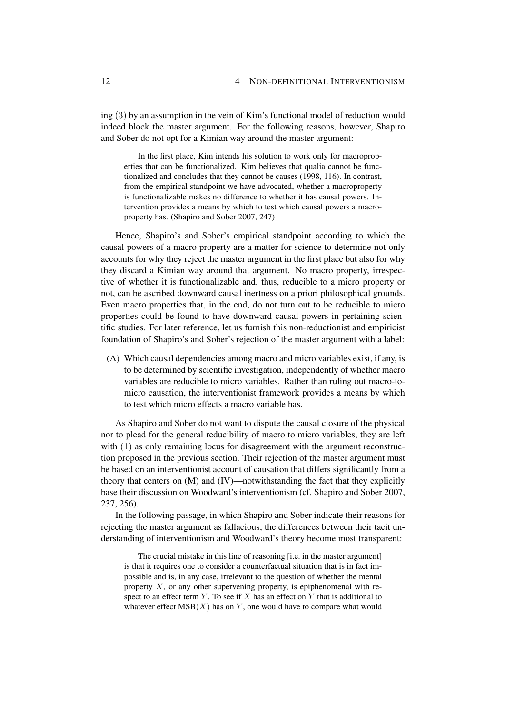ing (3) by an assumption in the vein of Kim's functional model of reduction would indeed block the master argument. For the following reasons, however, Shapiro and Sober do not opt for a Kimian way around the master argument:

In the first place, Kim intends his solution to work only for macroproperties that can be functionalized. Kim believes that qualia cannot be functionalized and concludes that they cannot be causes (1998, 116). In contrast, from the empirical standpoint we have advocated, whether a macroproperty is functionalizable makes no difference to whether it has causal powers. Intervention provides a means by which to test which causal powers a macroproperty has. (Shapiro and Sober 2007, 247)

Hence, Shapiro's and Sober's empirical standpoint according to which the causal powers of a macro property are a matter for science to determine not only accounts for why they reject the master argument in the first place but also for why they discard a Kimian way around that argument. No macro property, irrespective of whether it is functionalizable and, thus, reducible to a micro property or not, can be ascribed downward causal inertness on a priori philosophical grounds. Even macro properties that, in the end, do not turn out to be reducible to micro properties could be found to have downward causal powers in pertaining scientific studies. For later reference, let us furnish this non-reductionist and empiricist foundation of Shapiro's and Sober's rejection of the master argument with a label:

(A) Which causal dependencies among macro and micro variables exist, if any, is to be determined by scientific investigation, independently of whether macro variables are reducible to micro variables. Rather than ruling out macro-tomicro causation, the interventionist framework provides a means by which to test which micro effects a macro variable has.

As Shapiro and Sober do not want to dispute the causal closure of the physical nor to plead for the general reducibility of macro to micro variables, they are left with (1) as only remaining locus for disagreement with the argument reconstruction proposed in the previous section. Their rejection of the master argument must be based on an interventionist account of causation that differs significantly from a theory that centers on (M) and (IV)—notwithstanding the fact that they explicitly base their discussion on Woodward's interventionism (cf. Shapiro and Sober 2007, 237, 256).

In the following passage, in which Shapiro and Sober indicate their reasons for rejecting the master argument as fallacious, the differences between their tacit understanding of interventionism and Woodward's theory become most transparent:

The crucial mistake in this line of reasoning [i.e. in the master argument] is that it requires one to consider a counterfactual situation that is in fact impossible and is, in any case, irrelevant to the question of whether the mental property  $X$ , or any other supervening property, is epiphenomenal with respect to an effect term  $Y$ . To see if  $X$  has an effect on  $Y$  that is additional to whatever effect  $MSB(X)$  has on Y, one would have to compare what would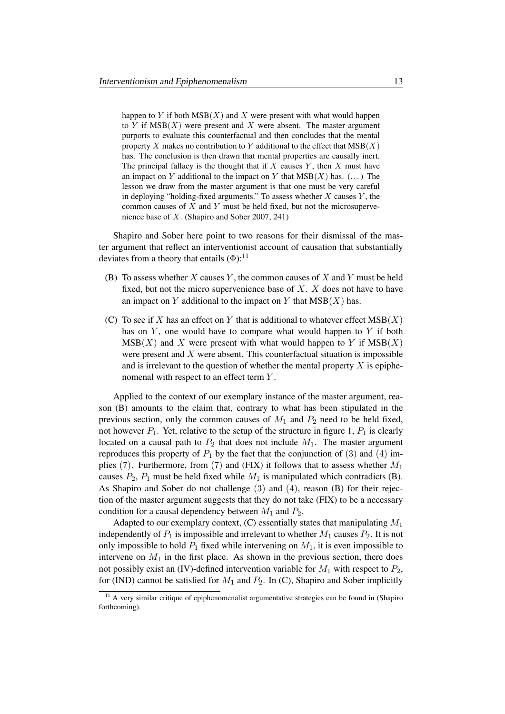happen to Y if both  $MSB(X)$  and X were present with what would happen to Y if  $MSB(X)$  were present and X were absent. The master argument purports to evaluate this counterfactual and then concludes that the mental property X makes no contribution to Y additional to the effect that  $MSB(X)$ has. The conclusion is then drawn that mental properties are causally inert. The principal fallacy is the thought that if  $X$  causes  $Y$ , then  $X$  must have an impact on Y additional to the impact on Y that  $MSB(X)$  has. (...) The lesson we draw from the master argument is that one must be very careful in deploying "holding-fixed arguments." To assess whether  $X$  causes  $Y$ , the common causes of  $X$  and  $Y$  must be held fixed, but not the microsupervenience base of X. (Shapiro and Sober 2007, 241)

Shapiro and Sober here point to two reasons for their dismissal of the master argument that reflect an interventionist account of causation that substantially deviates from a theory that entails  $(\Phi)$ :<sup>11</sup>

- (B) To assess whether X causes Y, the common causes of X and Y must be held fixed, but not the micro supervenience base of  $X$ .  $X$  does not have to have an impact on Y additional to the impact on Y that  $MSB(X)$  has.
- (C) To see if X has an effect on Y that is additional to whatever effect  $MSB(X)$ has on  $Y$ , one would have to compare what would happen to  $Y$  if both  $MSB(X)$  and X were present with what would happen to Y if  $MSB(X)$ were present and  $X$  were absent. This counterfactual situation is impossible and is irrelevant to the question of whether the mental property  $X$  is epiphenomenal with respect to an effect term Y.

Applied to the context of our exemplary instance of the master argument, reason (B) amounts to the claim that, contrary to what has been stipulated in the previous section, only the common causes of  $M_1$  and  $P_2$  need to be held fixed, not however  $P_1$ . Yet, relative to the setup of the structure in figure 1,  $P_1$  is clearly located on a causal path to  $P_2$  that does not include  $M_1$ . The master argument reproduces this property of  $P_1$  by the fact that the conjunction of (3) and (4) implies (7). Furthermore, from (7) and (FIX) it follows that to assess whether  $M_1$ causes  $P_2$ ,  $P_1$  must be held fixed while  $M_1$  is manipulated which contradicts (B). As Shapiro and Sober do not challenge (3) and (4), reason (B) for their rejection of the master argument suggests that they do not take (FIX) to be a necessary condition for a causal dependency between  $M_1$  and  $P_2$ .

Adapted to our exemplary context,  $(C)$  essentially states that manipulating  $M_1$ independently of  $P_1$  is impossible and irrelevant to whether  $M_1$  causes  $P_2$ . It is not only impossible to hold  $P_1$  fixed while intervening on  $M_1$ , it is even impossible to intervene on  $M_1$  in the first place. As shown in the previous section, there does not possibly exist an (IV)-defined intervention variable for  $M_1$  with respect to  $P_2$ , for (IND) cannot be satisfied for  $M_1$  and  $P_2$ . In (C), Shapiro and Sober implicitly

<sup>&</sup>lt;sup>11</sup> A very similar critique of epiphenomenalist argumentative strategies can be found in (Shapiro forthcoming).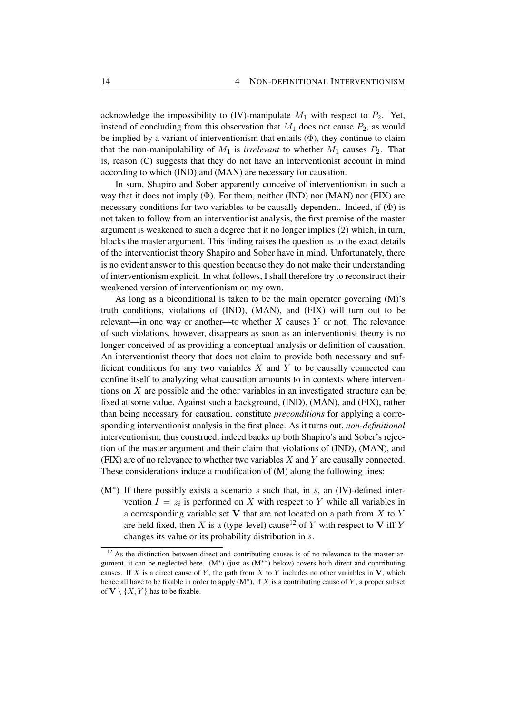acknowledge the impossibility to (IV)-manipulate  $M_1$  with respect to  $P_2$ . Yet, instead of concluding from this observation that  $M_1$  does not cause  $P_2$ , as would be implied by a variant of interventionism that entails  $(\Phi)$ , they continue to claim that the non-manipulability of  $M_1$  is *irrelevant* to whether  $M_1$  causes  $P_2$ . That is, reason (C) suggests that they do not have an interventionist account in mind according to which (IND) and (MAN) are necessary for causation.

In sum, Shapiro and Sober apparently conceive of interventionism in such a way that it does not imply  $(\Phi)$ . For them, neither (IND) nor (MAN) nor (FIX) are necessary conditions for two variables to be causally dependent. Indeed, if  $(\Phi)$  is not taken to follow from an interventionist analysis, the first premise of the master argument is weakened to such a degree that it no longer implies (2) which, in turn, blocks the master argument. This finding raises the question as to the exact details of the interventionist theory Shapiro and Sober have in mind. Unfortunately, there is no evident answer to this question because they do not make their understanding of interventionism explicit. In what follows, I shall therefore try to reconstruct their weakened version of interventionism on my own.

As long as a biconditional is taken to be the main operator governing (M)'s truth conditions, violations of (IND), (MAN), and (FIX) will turn out to be relevant—in one way or another—to whether  $X$  causes  $Y$  or not. The relevance of such violations, however, disappears as soon as an interventionist theory is no longer conceived of as providing a conceptual analysis or definition of causation. An interventionist theory that does not claim to provide both necessary and sufficient conditions for any two variables  $X$  and  $Y$  to be causally connected can confine itself to analyzing what causation amounts to in contexts where interventions on  $X$  are possible and the other variables in an investigated structure can be fixed at some value. Against such a background, (IND), (MAN), and (FIX), rather than being necessary for causation, constitute *preconditions* for applying a corresponding interventionist analysis in the first place. As it turns out, *non-definitional* interventionism, thus construed, indeed backs up both Shapiro's and Sober's rejection of the master argument and their claim that violations of (IND), (MAN), and  $(FIX)$  are of no relevance to whether two variables  $X$  and  $Y$  are causally connected. These considerations induce a modification of (M) along the following lines:

 $(M^*)$  If there possibly exists a scenario s such that, in s, an (IV)-defined intervention  $I = z_i$  is performed on X with respect to Y while all variables in a corresponding variable set  $V$  that are not located on a path from  $X$  to  $Y$ are held fixed, then X is a (type-level) cause<sup>12</sup> of Y with respect to V iff Y changes its value or its probability distribution in s.

<sup>&</sup>lt;sup>12</sup> As the distinction between direct and contributing causes is of no relevance to the master argument, it can be neglected here.  $(M^*)$  (just as  $(M^{**})$  below) covers both direct and contributing causes. If X is a direct cause of Y, the path from X to Y includes no other variables in  $V$ , which hence all have to be fixable in order to apply  $(M^*)$ , if X is a contributing cause of Y, a proper subset of  $V \setminus \{X, Y\}$  has to be fixable.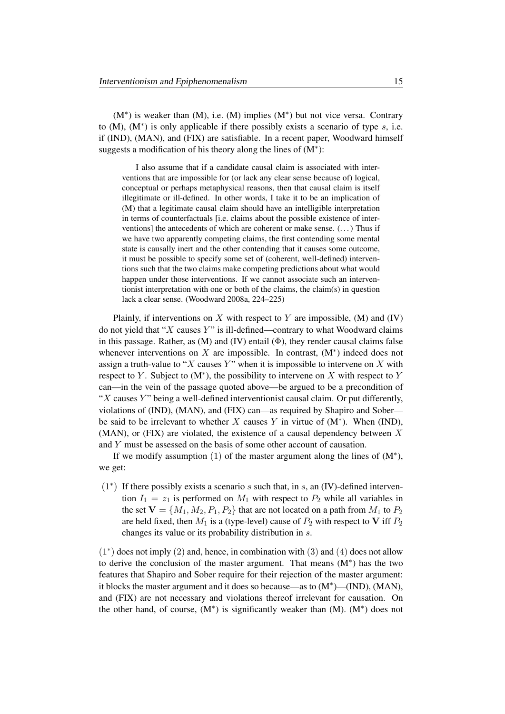(M<sup>∗</sup> ) is weaker than (M), i.e. (M) implies (M<sup>∗</sup> ) but not vice versa. Contrary to  $(M)$ ,  $(M^*)$  is only applicable if there possibly exists a scenario of type  $s$ , i.e. if (IND), (MAN), and (FIX) are satisfiable. In a recent paper, Woodward himself suggests a modification of his theory along the lines of (M<sup>∗</sup> ):

I also assume that if a candidate causal claim is associated with interventions that are impossible for (or lack any clear sense because of) logical, conceptual or perhaps metaphysical reasons, then that causal claim is itself illegitimate or ill-defined. In other words, I take it to be an implication of (M) that a legitimate causal claim should have an intelligible interpretation in terms of counterfactuals [i.e. claims about the possible existence of interventions] the antecedents of which are coherent or make sense. (. . . ) Thus if we have two apparently competing claims, the first contending some mental state is causally inert and the other contending that it causes some outcome, it must be possible to specify some set of (coherent, well-defined) interventions such that the two claims make competing predictions about what would happen under those interventions. If we cannot associate such an interventionist interpretation with one or both of the claims, the claim(s) in question lack a clear sense. (Woodward 2008a, 224–225)

Plainly, if interventions on X with respect to Y are impossible,  $(M)$  and  $(IV)$ do not yield that " $X$  causes  $Y$ " is ill-defined—contrary to what Woodward claims in this passage. Rather, as  $(M)$  and  $(IV)$  entail  $(\Phi)$ , they render causal claims false whenever interventions on  $X$  are impossible. In contrast,  $(M^*)$  indeed does not assign a truth-value to "X causes Y" when it is impossible to intervene on X with respect to Y. Subject to  $(M^*)$ , the possibility to intervene on X with respect to Y can—in the vein of the passage quoted above—be argued to be a precondition of " $X$  causes  $Y$ " being a well-defined interventionist causal claim. Or put differently, violations of (IND), (MAN), and (FIX) can—as required by Shapiro and Sober be said to be irrelevant to whether X causes Y in virtue of  $(M^*)$ . When (IND), (MAN), or (FIX) are violated, the existence of a causal dependency between  $X$ and Y must be assessed on the basis of some other account of causation.

If we modify assumption  $(1)$  of the master argument along the lines of  $(M^*)$ , we get:

(1<sup>∗</sup> ) If there possibly exists a scenario s such that, in s, an (IV)-defined intervention  $I_1 = z_1$  is performed on  $M_1$  with respect to  $P_2$  while all variables in the set  $V = \{M_1, M_2, P_1, P_2\}$  that are not located on a path from  $M_1$  to  $P_2$ are held fixed, then  $M_1$  is a (type-level) cause of  $P_2$  with respect to V iff  $P_2$ changes its value or its probability distribution in s.

(1<sup>∗</sup> ) does not imply (2) and, hence, in combination with (3) and (4) does not allow to derive the conclusion of the master argument. That means (M<sup>∗</sup> ) has the two features that Shapiro and Sober require for their rejection of the master argument: it blocks the master argument and it does so because—as to  $(M^*)$ — $(IND)$ ,  $(MAN)$ , and (FIX) are not necessary and violations thereof irrelevant for causation. On the other hand, of course,  $(M^*)$  is significantly weaker than  $(M)$ .  $(M^*)$  does not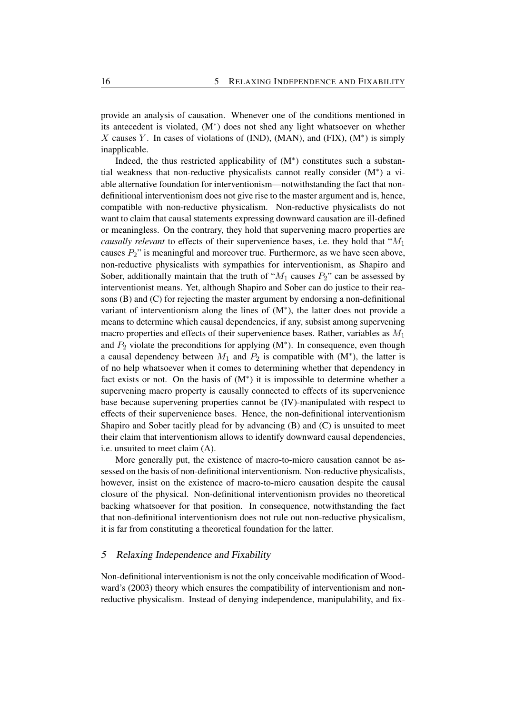provide an analysis of causation. Whenever one of the conditions mentioned in its antecedent is violated, (M<sup>∗</sup> ) does not shed any light whatsoever on whether X causes Y. In cases of violations of (IND), (MAN), and (FIX),  $(M^*)$  is simply inapplicable.

Indeed, the thus restricted applicability of (M<sup>∗</sup> ) constitutes such a substantial weakness that non-reductive physicalists cannot really consider (M<sup>∗</sup> ) a viable alternative foundation for interventionism—notwithstanding the fact that nondefinitional interventionism does not give rise to the master argument and is, hence, compatible with non-reductive physicalism. Non-reductive physicalists do not want to claim that causal statements expressing downward causation are ill-defined or meaningless. On the contrary, they hold that supervening macro properties are *causally relevant* to effects of their supervenience bases, i.e. they hold that " $M_1$ " causes  $P_2$ " is meaningful and moreover true. Furthermore, as we have seen above, non-reductive physicalists with sympathies for interventionism, as Shapiro and Sober, additionally maintain that the truth of " $M_1$  causes  $P_2$ " can be assessed by interventionist means. Yet, although Shapiro and Sober can do justice to their reasons (B) and (C) for rejecting the master argument by endorsing a non-definitional variant of interventionism along the lines of  $(M^*)$ , the latter does not provide a means to determine which causal dependencies, if any, subsist among supervening macro properties and effects of their supervenience bases. Rather, variables as  $M_1$ and  $P_2$  violate the preconditions for applying  $(M^*)$ . In consequence, even though a causal dependency between  $M_1$  and  $P_2$  is compatible with  $(M^*)$ , the latter is of no help whatsoever when it comes to determining whether that dependency in fact exists or not. On the basis of  $(M^*)$  it is impossible to determine whether a supervening macro property is causally connected to effects of its supervenience base because supervening properties cannot be (IV)-manipulated with respect to effects of their supervenience bases. Hence, the non-definitional interventionism Shapiro and Sober tacitly plead for by advancing (B) and (C) is unsuited to meet their claim that interventionism allows to identify downward causal dependencies, i.e. unsuited to meet claim (A).

More generally put, the existence of macro-to-micro causation cannot be assessed on the basis of non-definitional interventionism. Non-reductive physicalists, however, insist on the existence of macro-to-micro causation despite the causal closure of the physical. Non-definitional interventionism provides no theoretical backing whatsoever for that position. In consequence, notwithstanding the fact that non-definitional interventionism does not rule out non-reductive physicalism, it is far from constituting a theoretical foundation for the latter.

## 5 Relaxing Independence and Fixability

Non-definitional interventionism is not the only conceivable modification of Woodward's (2003) theory which ensures the compatibility of interventionism and nonreductive physicalism. Instead of denying independence, manipulability, and fix-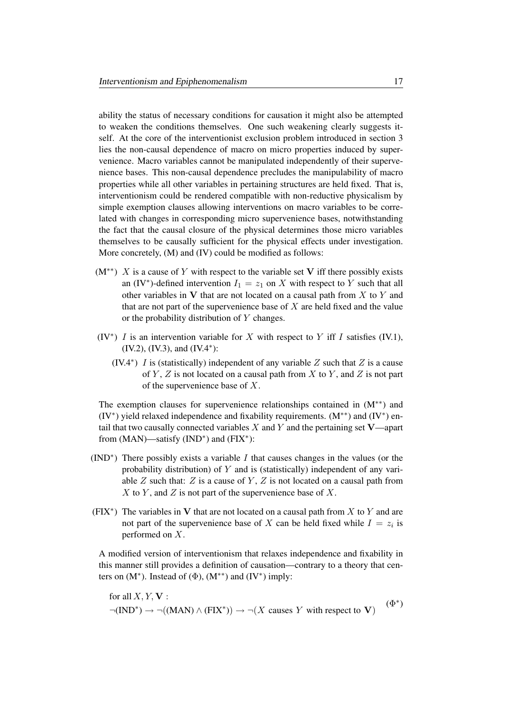ability the status of necessary conditions for causation it might also be attempted to weaken the conditions themselves. One such weakening clearly suggests itself. At the core of the interventionist exclusion problem introduced in section 3 lies the non-causal dependence of macro on micro properties induced by supervenience. Macro variables cannot be manipulated independently of their supervenience bases. This non-causal dependence precludes the manipulability of macro properties while all other variables in pertaining structures are held fixed. That is, interventionism could be rendered compatible with non-reductive physicalism by simple exemption clauses allowing interventions on macro variables to be correlated with changes in corresponding micro supervenience bases, notwithstanding the fact that the causal closure of the physical determines those micro variables themselves to be causally sufficient for the physical effects under investigation. More concretely, (M) and (IV) could be modified as follows:

- $(M^{**})$  X is a cause of Y with respect to the variable set V iff there possibly exists an (IV<sup>\*</sup>)-defined intervention  $I_1 = z_1$  on X with respect to Y such that all other variables in  $V$  that are not located on a causal path from  $X$  to  $Y$  and that are not part of the supervenience base of  $X$  are held fixed and the value or the probability distribution of Y changes.
- (IV<sup>\*</sup>) *I* is an intervention variable for X with respect to Y iff *I* satisfies (IV.1), (IV.2), (IV.3), and (IV.4<sup>∗</sup> ):
	- (IV.4<sup>\*</sup>) *I* is (statistically) independent of any variable  $Z$  such that  $Z$  is a cause of Y, Z is not located on a causal path from X to Y, and Z is not part of the supervenience base of X.

The exemption clauses for supervenience relationships contained in (M∗∗) and (IV<sup>∗</sup> ) yield relaxed independence and fixability requirements. (M∗∗) and (IV<sup>∗</sup> ) entail that two causally connected variables  $X$  and  $Y$  and the pertaining set  $V$ —apart from  $(MAN)$ —satisfy  $(IND^*)$  and  $(FIX^*)$ :

- (IND<sup>\*</sup>) There possibly exists a variable  $I$  that causes changes in the values (or the probability distribution) of  $Y$  and is (statistically) independent of any variable  $Z$  such that:  $Z$  is a cause of  $Y$ ,  $Z$  is not located on a causal path from X to Y, and Z is not part of the supervenience base of X.
- (FIX<sup>\*</sup>) The variables in V that are not located on a causal path from X to Y and are not part of the supervenience base of X can be held fixed while  $I = z_i$  is performed on X.

A modified version of interventionism that relaxes independence and fixability in this manner still provides a definition of causation—contrary to a theory that centers on  $(M^*)$ . Instead of  $(\Phi)$ ,  $(M^{**})$  and  $(IV^*)$  imply:

for all  $X, Y, V$ :  $\neg(\text{IND}^*) \rightarrow \neg((\text{MAN}) \land (\text{FIN}^*)) \rightarrow \neg(X \text{ causes } Y \text{ with respect to } V)$  $(\Phi^*)$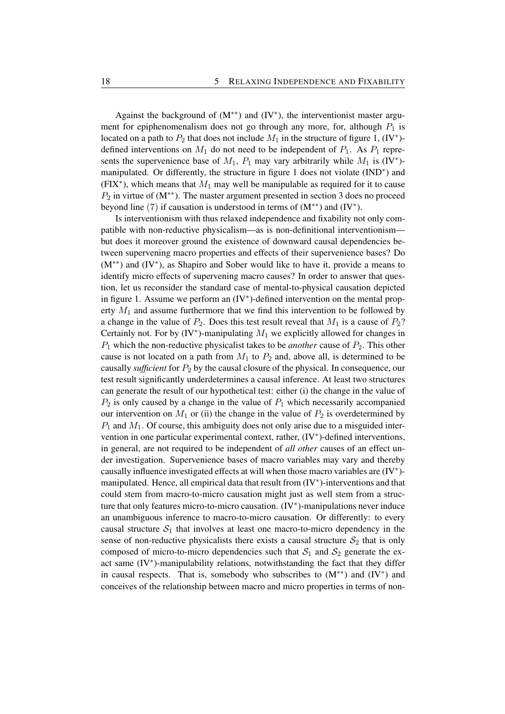Against the background of  $(M^{**})$  and  $(IV^*)$ , the interventionist master argument for epiphenomenalism does not go through any more, for, although  $P_1$  is located on a path to  $P_2$  that does not include  $M_1$  in the structure of figure 1, (IV<sup>\*</sup>)defined interventions on  $M_1$  do not need to be independent of  $P_1$ . As  $P_1$  represents the supervenience base of  $M_1$ ,  $P_1$  may vary arbitrarily while  $M_1$  is  $(IV^*)$ manipulated. Or differently, the structure in figure 1 does not violate (IND<sup>\*</sup>) and (FIX<sup>\*</sup>), which means that  $M_1$  may well be manipulable as required for it to cause  $P_2$  in virtue of (M<sup>\*\*</sup>). The master argument presented in section 3 does no proceed beyond line  $(7)$  if causation is understood in terms of  $(M^{**})$  and  $(IV^*)$ .

Is interventionism with thus relaxed independence and fixability not only compatible with non-reductive physicalism—as is non-definitional interventionism but does it moreover ground the existence of downward causal dependencies between supervening macro properties and effects of their supervenience bases? Do (M∗∗) and (IV<sup>∗</sup> ), as Shapiro and Sober would like to have it, provide a means to identify micro effects of supervening macro causes? In order to answer that question, let us reconsider the standard case of mental-to-physical causation depicted in figure 1. Assume we perform an (IV<sup>∗</sup> )-defined intervention on the mental property  $M_1$  and assume furthermore that we find this intervention to be followed by a change in the value of  $P_2$ . Does this test result reveal that  $M_1$  is a cause of  $P_2$ ? Certainly not. For by  $(IV^*)$ -manipulating  $M_1$  we explicitly allowed for changes in P<sup>1</sup> which the non-reductive physicalist takes to be *another* cause of P2. This other cause is not located on a path from  $M_1$  to  $P_2$  and, above all, is determined to be causally *sufficient* for  $P_2$  by the causal closure of the physical. In consequence, our test result significantly underdetermines a causal inference. At least two structures can generate the result of our hypothetical test: either (i) the change in the value of  $P_2$  is only caused by a change in the value of  $P_1$  which necessarily accompanied our intervention on  $M_1$  or (ii) the change in the value of  $P_2$  is overdetermined by  $P_1$  and  $M_1$ . Of course, this ambiguity does not only arise due to a misguided intervention in one particular experimental context, rather, (IV\*)-defined interventions, in general, are not required to be independent of *all other* causes of an effect under investigation. Supervenience bases of macro variables may vary and thereby causally influence investigated effects at will when those macro variables are (IV<sup>∗</sup> ) manipulated. Hence, all empirical data that result from (IV<sup>∗</sup>)-interventions and that could stem from macro-to-micro causation might just as well stem from a structure that only features micro-to-micro causation. (IV<sup>∗</sup> )-manipulations never induce an unambiguous inference to macro-to-micro causation. Or differently: to every causal structure  $S_1$  that involves at least one macro-to-micro dependency in the sense of non-reductive physicalists there exists a causal structure  $S_2$  that is only composed of micro-to-micro dependencies such that  $S_1$  and  $S_2$  generate the exact same (IV<sup>∗</sup> )-manipulability relations, notwithstanding the fact that they differ in causal respects. That is, somebody who subscribes to  $(M^{**})$  and  $(IV^*)$  and conceives of the relationship between macro and micro properties in terms of non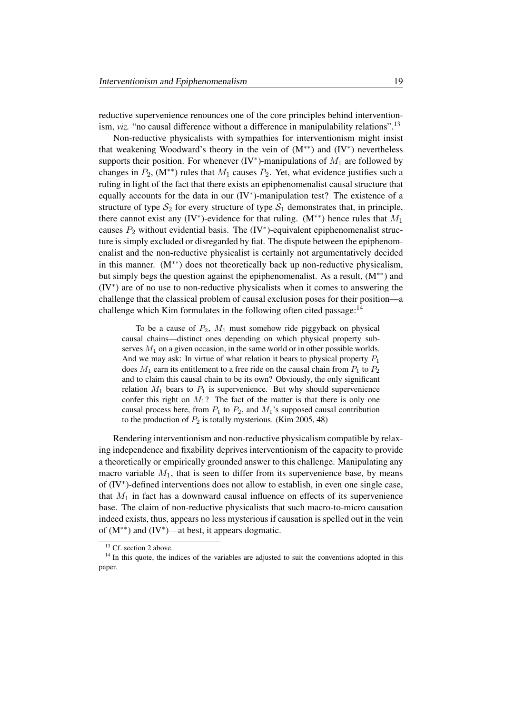reductive supervenience renounces one of the core principles behind interventionism, *viz.* "no causal difference without a difference in manipulability relations".<sup>13</sup>

Non-reductive physicalists with sympathies for interventionism might insist that weakening Woodward's theory in the vein of (M∗∗) and (IV<sup>∗</sup> ) nevertheless supports their position. For whenever (IV<sup>\*</sup>)-manipulations of  $M_1$  are followed by changes in  $P_2$ , (M<sup>\*\*</sup>) rules that  $M_1$  causes  $P_2$ . Yet, what evidence justifies such a ruling in light of the fact that there exists an epiphenomenalist causal structure that equally accounts for the data in our (IV<sup>\*</sup>)-manipulation test? The existence of a structure of type  $S_2$  for every structure of type  $S_1$  demonstrates that, in principle, there cannot exist any (IV<sup>\*</sup>)-evidence for that ruling. (M<sup>\*\*</sup>) hence rules that  $M_1$ causes  $P_2$  without evidential basis. The  $(IV^*)$ -equivalent epiphenomenalist structure is simply excluded or disregarded by fiat. The dispute between the epiphenomenalist and the non-reductive physicalist is certainly not argumentatively decided in this manner.  $(M^*)$  does not theoretically back up non-reductive physicalism, but simply begs the question against the epiphenomenalist. As a result,  $(M^{**})$  and (IV<sup>∗</sup> ) are of no use to non-reductive physicalists when it comes to answering the challenge that the classical problem of causal exclusion poses for their position—a challenge which Kim formulates in the following often cited passage: $14$ 

To be a cause of  $P_2$ ,  $M_1$  must somehow ride piggyback on physical causal chains—distinct ones depending on which physical property subserves  $M_1$  on a given occasion, in the same world or in other possible worlds. And we may ask: In virtue of what relation it bears to physical property  $P_1$ does  $M_1$  earn its entitlement to a free ride on the causal chain from  $P_1$  to  $P_2$ and to claim this causal chain to be its own? Obviously, the only significant relation  $M_1$  bears to  $P_1$  is supervenience. But why should supervenience confer this right on  $M_1$ ? The fact of the matter is that there is only one causal process here, from  $P_1$  to  $P_2$ , and  $M_1$ 's supposed causal contribution to the production of  $P_2$  is totally mysterious. (Kim 2005, 48)

Rendering interventionism and non-reductive physicalism compatible by relaxing independence and fixability deprives interventionism of the capacity to provide a theoretically or empirically grounded answer to this challenge. Manipulating any macro variable  $M_1$ , that is seen to differ from its supervenience base, by means of (IV<sup>∗</sup> )-defined interventions does not allow to establish, in even one single case, that  $M_1$  in fact has a downward causal influence on effects of its supervenience base. The claim of non-reductive physicalists that such macro-to-micro causation indeed exists, thus, appears no less mysterious if causation is spelled out in the vein of (M∗∗) and (IV<sup>∗</sup> )—at best, it appears dogmatic.

<sup>&</sup>lt;sup>13</sup> Cf. section 2 above.

<sup>&</sup>lt;sup>14</sup> In this quote, the indices of the variables are adjusted to suit the conventions adopted in this paper.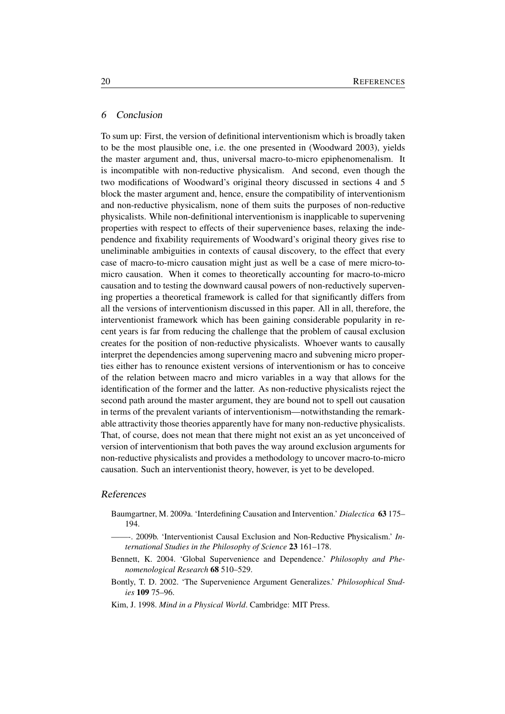### 6 Conclusion

To sum up: First, the version of definitional interventionism which is broadly taken to be the most plausible one, i.e. the one presented in (Woodward 2003), yields the master argument and, thus, universal macro-to-micro epiphenomenalism. It is incompatible with non-reductive physicalism. And second, even though the two modifications of Woodward's original theory discussed in sections 4 and 5 block the master argument and, hence, ensure the compatibility of interventionism and non-reductive physicalism, none of them suits the purposes of non-reductive physicalists. While non-definitional interventionism is inapplicable to supervening properties with respect to effects of their supervenience bases, relaxing the independence and fixability requirements of Woodward's original theory gives rise to uneliminable ambiguities in contexts of causal discovery, to the effect that every case of macro-to-micro causation might just as well be a case of mere micro-tomicro causation. When it comes to theoretically accounting for macro-to-micro causation and to testing the downward causal powers of non-reductively supervening properties a theoretical framework is called for that significantly differs from all the versions of interventionism discussed in this paper. All in all, therefore, the interventionist framework which has been gaining considerable popularity in recent years is far from reducing the challenge that the problem of causal exclusion creates for the position of non-reductive physicalists. Whoever wants to causally interpret the dependencies among supervening macro and subvening micro properties either has to renounce existent versions of interventionism or has to conceive of the relation between macro and micro variables in a way that allows for the identification of the former and the latter. As non-reductive physicalists reject the second path around the master argument, they are bound not to spell out causation in terms of the prevalent variants of interventionism—notwithstanding the remarkable attractivity those theories apparently have for many non-reductive physicalists. That, of course, does not mean that there might not exist an as yet unconceived of version of interventionism that both paves the way around exclusion arguments for non-reductive physicalists and provides a methodology to uncover macro-to-micro causation. Such an interventionist theory, however, is yet to be developed.

### References

- Baumgartner, M. 2009a. 'Interdefining Causation and Intervention.' *Dialectica* 63 175– 194.
- ——-. 2009b. 'Interventionist Causal Exclusion and Non-Reductive Physicalism.' *International Studies in the Philosophy of Science* 23 161–178.
- Bennett, K. 2004. 'Global Supervenience and Dependence.' *Philosophy and Phenomenological Research* 68 510–529.
- Bontly, T. D. 2002. 'The Supervenience Argument Generalizes.' *Philosophical Studies* 109 75–96.
- Kim, J. 1998. *Mind in a Physical World*. Cambridge: MIT Press.